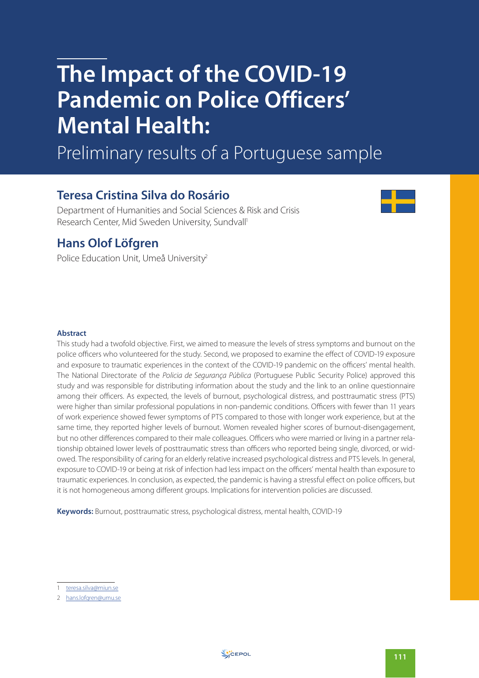# **The Impact of the COVID-19 Pandemic on Police Officers' Mental Health:**

Preliminary results of a Portuguese sample

# **Teresa Cristina Silva do Rosário**

Department of Humanities and Social Sciences & Risk and Crisis Research Center, Mid Sweden University, Sundvall<sup>1</sup>



# **Hans Olof Löfgren**

Police Education Unit, Umeå University<sup>2</sup>

### **Abstract**

This study had a twofold objective. First, we aimed to measure the levels of stress symptoms and burnout on the police officers who volunteered for the study. Second, we proposed to examine the effect of COVID-19 exposure and exposure to traumatic experiences in the context of the COVID-19 pandemic on the officers' mental health. The National Directorate of the Policia de Segurança Pública (Portuguese Public Security Police) approved this study and was responsible for distributing information about the study and the link to an online questionnaire among their officers. As expected, the levels of burnout, psychological distress, and posttraumatic stress (PTS) were higher than similar professional populations in non-pandemic conditions. Officers with fewer than 11 years of work experience showed fewer symptoms of PTS compared to those with longer work experience, but at the same time, they reported higher levels of burnout. Women revealed higher scores of burnout-disengagement, but no other differences compared to their male colleagues. Officers who were married or living in a partner relationship obtained lower levels of posttraumatic stress than officers who reported being single, divorced, or widowed. The responsibility of caring for an elderly relative increased psychological distress and PTS levels. In general, exposure to COVID-19 or being at risk of infection had less impact on the officers' mental health than exposure to traumatic experiences. In conclusion, as expected, the pandemic is having a stressful effect on police officers, but it is not homogeneous among different groups. Implications for intervention policies are discussed.

**Keywords:** Burnout, posttraumatic stress, psychological distress, mental health, COVID-19

<sup>1</sup> teresa.silva@miun.se

<sup>2</sup> hans.lofgren@umu.se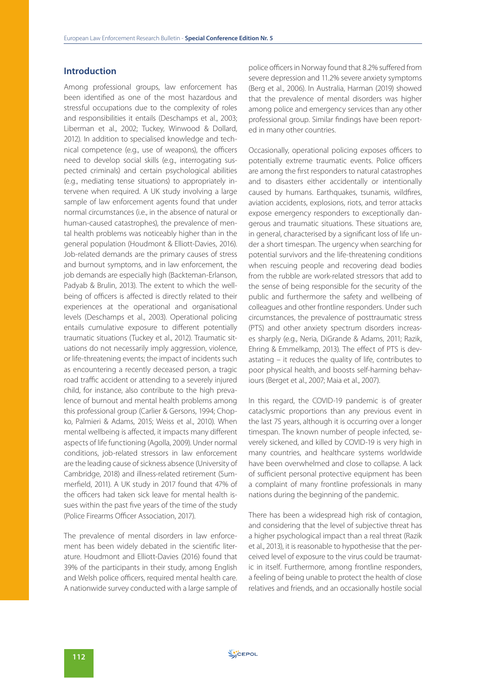# **Introduction**

Among professional groups, law enforcement has been identified as one of the most hazardous and stressful occupations due to the complexity of roles and responsibilities it entails (Deschamps et al., 2003; Liberman et al., 2002; Tuckey, Winwood & Dollard, 2012). In addition to specialised knowledge and technical competence (e.g., use of weapons), the officers need to develop social skills (e.g., interrogating suspected criminals) and certain psychological abilities (e.g., mediating tense situations) to appropriately intervene when required. A UK study involving a large sample of law enforcement agents found that under normal circumstances (i.e., in the absence of natural or human-caused catastrophes), the prevalence of mental health problems was noticeably higher than in the general population (Houdmont & Elliott-Davies, 2016). Job-related demands are the primary causes of stress and burnout symptoms, and in law enforcement, the job demands are especially high (Backteman-Erlanson, Padyab & Brulin, 2013). The extent to which the wellbeing of officers is affected is directly related to their experiences at the operational and organisational levels (Deschamps et al., 2003). Operational policing entails cumulative exposure to different potentially traumatic situations (Tuckey et al., 2012). Traumatic situations do not necessarily imply aggression, violence, or life-threatening events; the impact of incidents such as encountering a recently deceased person, a tragic road traffic accident or attending to a severely injured child, for instance, also contribute to the high prevalence of burnout and mental health problems among this professional group (Carlier & Gersons, 1994; Chopko, Palmieri & Adams, 2015; Weiss et al., 2010). When mental wellbeing is affected, it impacts many different aspects of life functioning (Agolla, 2009). Under normal conditions, job-related stressors in law enforcement are the leading cause of sickness absence (University of Cambridge, 2018) and illness-related retirement (Summerfield, 2011). A UK study in 2017 found that 47% of the officers had taken sick leave for mental health issues within the past five years of the time of the study (Police Firearms Officer Association, 2017).

The prevalence of mental disorders in law enforcement has been widely debated in the scientific literature. Houdmont and Elliott-Davies (2016) found that 39% of the participants in their study, among English and Welsh police officers, required mental health care. A nationwide survey conducted with a large sample of police officers in Norway found that 8.2% suffered from severe depression and 11.2% severe anxiety symptoms (Berg et al., 2006). In Australia, Harman (2019) showed that the prevalence of mental disorders was higher among police and emergency services than any other professional group. Similar findings have been reported in many other countries.

Occasionally, operational policing exposes officers to potentially extreme traumatic events. Police officers are among the first responders to natural catastrophes and to disasters either accidentally or intentionally caused by humans. Earthquakes, tsunamis, wildfires, aviation accidents, explosions, riots, and terror attacks expose emergency responders to exceptionally dangerous and traumatic situations. These situations are, in general, characterised by a significant loss of life under a short timespan. The urgency when searching for potential survivors and the life-threatening conditions when rescuing people and recovering dead bodies from the rubble are work-related stressors that add to the sense of being responsible for the security of the public and furthermore the safety and wellbeing of colleagues and other frontline responders. Under such circumstances, the prevalence of posttraumatic stress (PTS) and other anxiety spectrum disorders increases sharply (e.g., Neria, DiGrande & Adams, 2011; Razik, Ehring & Emmelkamp, 2013). The effect of PTS is devastating – it reduces the quality of life, contributes to poor physical health, and boosts self-harming behaviours (Berget et al., 2007; Maia et al., 2007).

In this regard, the COVID-19 pandemic is of greater cataclysmic proportions than any previous event in the last 75 years, although it is occurring over a longer timespan. The known number of people infected, severely sickened, and killed by COVID-19 is very high in many countries, and healthcare systems worldwide have been overwhelmed and close to collapse. A lack of sufficient personal protective equipment has been a complaint of many frontline professionals in many nations during the beginning of the pandemic.

There has been a widespread high risk of contagion, and considering that the level of subjective threat has a higher psychological impact than a real threat (Razik et al., 2013), it is reasonable to hypothesise that the perceived level of exposure to the virus could be traumatic in itself. Furthermore, among frontline responders, a feeling of being unable to protect the health of close relatives and friends, and an occasionally hostile social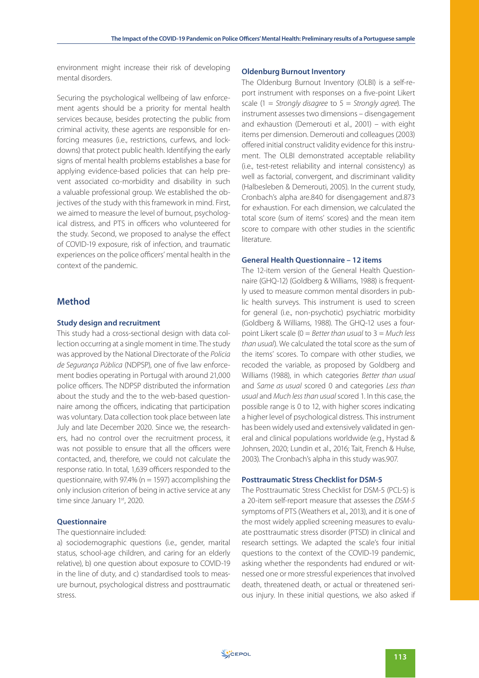environment might increase their risk of developing mental disorders.

Securing the psychological wellbeing of law enforcement agents should be a priority for mental health services because, besides protecting the public from criminal activity, these agents are responsible for enforcing measures (i.e., restrictions, curfews, and lockdowns) that protect public health. Identifying the early signs of mental health problems establishes a base for applying evidence-based policies that can help prevent associated co-morbidity and disability in such a valuable professional group. We established the objectives of the study with this framework in mind. First, we aimed to measure the level of burnout, psychological distress, and PTS in officers who volunteered for the study. Second, we proposed to analyse the effect of COVID-19 exposure, risk of infection, and traumatic experiences on the police officers' mental health in the context of the pandemic.

## **Method**

#### **Study design and recruitment**

This study had a cross-sectional design with data collection occurring at a single moment in time. The study was approved by the National Directorate of the Policia de Segurança Pública (NDPSP), one of five law enforcement bodies operating in Portugal with around 21,000 police officers. The NDPSP distributed the information about the study and the to the web-based questionnaire among the officers, indicating that participation was voluntary. Data collection took place between late July and late December 2020. Since we, the researchers, had no control over the recruitment process, it was not possible to ensure that all the officers were contacted, and, therefore, we could not calculate the response ratio. In total, 1,639 officers responded to the questionnaire, with 97.4% ( $n = 1597$ ) accomplishing the only inclusion criterion of being in active service at any time since January 1st, 2020.

#### **Questionnaire**

## The questionnaire included:

a) sociodemographic questions (i.e., gender, marital status, school-age children, and caring for an elderly relative), b) one question about exposure to COVID-19 in the line of duty, and c) standardised tools to measure burnout, psychological distress and posttraumatic stress.

#### **Oldenburg Burnout Inventory**

The Oldenburg Burnout Inventory (OLBI) is a self-report instrument with responses on a five-point Likert scale (1 = Strongly disagree to  $5 =$  Strongly garee). The instrument assesses two dimensions – disengagement and exhaustion (Demerouti et al., 2001) – with eight items per dimension. Demerouti and colleagues (2003) offered initial construct validity evidence for this instrument. The OLBI demonstrated acceptable reliability (i.e., test-retest reliability and internal consistency) as well as factorial, convergent, and discriminant validity (Halbesleben & Demerouti, 2005). In the current study, Cronbach's alpha are.840 for disengagement and.873 for exhaustion. For each dimension, we calculated the total score (sum of items' scores) and the mean item score to compare with other studies in the scientific literature.

#### **General Health Questionnaire – 12 items**

The 12-item version of the General Health Questionnaire (GHQ-12) (Goldberg & Williams, 1988) is frequently used to measure common mental disorders in public health surveys. This instrument is used to screen for general (i.e., non-psychotic) psychiatric morbidity (Goldberg & Williams, 1988). The GHQ-12 uses a fourpoint Likert scale ( $0 =$  Better than usual to  $3 =$  Much less than usual). We calculated the total score as the sum of the items' scores. To compare with other studies, we recoded the variable, as proposed by Goldberg and Williams (1988), in which categories Better than usual and Same as usual scored 0 and categories Less than usual and Much less than usual scored 1. In this case, the possible range is 0 to 12, with higher scores indicating a higher level of psychological distress. This instrument has been widely used and extensively validated in general and clinical populations worldwide (e.g., Hystad & Johnsen, 2020; Lundin et al., 2016; Tait, French & Hulse, 2003). The Cronbach's alpha in this study was.907.

#### **Posttraumatic Stress Checklist for DSM-5**

The Posttraumatic Stress Checklist for DSM-5 (PCL-5) is a 20-item self-report measure that assesses the DSM-5 symptoms of PTS (Weathers et al., 2013), and it is one of the most widely applied screening measures to evaluate posttraumatic stress disorder (PTSD) in clinical and research settings. We adapted the scale's four initial questions to the context of the COVID-19 pandemic, asking whether the respondents had endured or witnessed one or more stressful experiences that involved death, threatened death, or actual or threatened serious injury. In these initial questions, we also asked if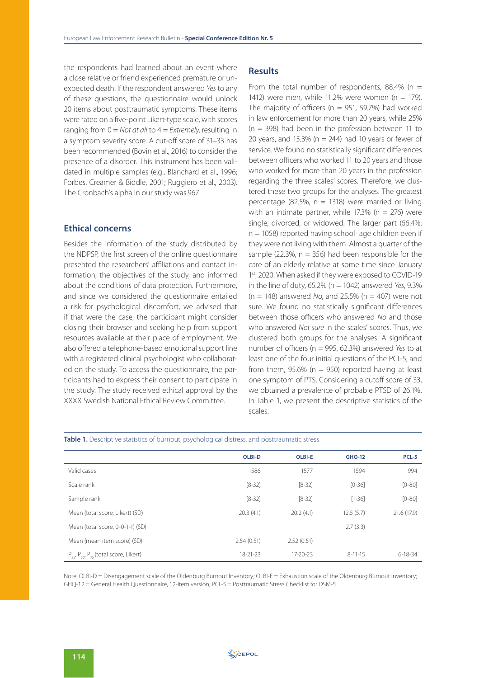the respondents had learned about an event where a close relative or friend experienced premature or unexpected death. If the respondent answered Yes to any of these questions, the questionnaire would unlock 20 items about posttraumatic symptoms. These items were rated on a five-point Likert-type scale, with scores ranging from  $0 = Not$  at all to  $4 = Extremely$ , resulting in a symptom severity score. A cut-off score of 31–33 has been recommended (Bovin et al., 2016) to consider the presence of a disorder. This instrument has been validated in multiple samples (e.g., Blanchard et al., 1996; Forbes, Creamer & Biddle, 2001; Ruggiero et al., 2003). The Cronbach's alpha in our study was.967.

# **Ethical concerns**

Besides the information of the study distributed by the NDPSP, the first screen of the online questionnaire presented the researchers' affiliations and contact information, the objectives of the study, and informed about the conditions of data protection. Furthermore, and since we considered the questionnaire entailed a risk for psychological discomfort, we advised that if that were the case, the participant might consider closing their browser and seeking help from support resources available at their place of employment. We also offered a telephone-based emotional support line with a registered clinical psychologist who collaborated on the study. To access the questionnaire, the participants had to express their consent to participate in the study. The study received ethical approval by the XXXX Swedish National Ethical Review Committee.

# **Results**

From the total number of respondents, 88.4% ( $n =$ 1412) were men, while 11.2% were women ( $n = 179$ ). The majority of officers ( $n = 951, 59.7%$ ) had worked in law enforcement for more than 20 years, while 25%  $(n = 398)$  had been in the profession between 11 to 20 years, and 15.3% ( $n = 244$ ) had 10 years or fewer of service. We found no statistically significant differences between officers who worked 11 to 20 years and those who worked for more than 20 years in the profession regarding the three scales' scores. Therefore, we clustered these two groups for the analyses. The greatest percentage (82.5%,  $n = 1318$ ) were married or living with an intimate partner, while 17.3% ( $n = 276$ ) were single, divorced, or widowed. The larger part (66.4%,  $n = 1058$ ) reported having school–age children even if they were not living with them. Almost a quarter of the sample (22.3%,  $n = 356$ ) had been responsible for the care of an elderly relative at some time since January 1st, 2020. When asked if they were exposed to COVID-19 in the line of duty, 65.2% ( $n = 1042$ ) answered Yes, 9.3%  $(n = 148)$  answered No, and 25.5%  $(n = 407)$  were not sure. We found no statistically significant differences between those officers who answered No and those who answered Not sure in the scales' scores. Thus, we clustered both groups for the analyses. A significant number of officers ( $n = 995, 62.3%$ ) answered Yes to at least one of the four initial questions of the PCL-5, and from them,  $95.6\%$  (n = 950) reported having at least one symptom of PTS. Considering a cutoff score of 33, we obtained a prevalence of probable PTSD of 26.1%. In Table 1, we present the descriptive statistics of the scales.

|                                                      | <b>OLBI-D</b> | <b>OLBI-E</b>  | <b>GHO-12</b> | PCL-5         |
|------------------------------------------------------|---------------|----------------|---------------|---------------|
| Valid cases                                          | 1586          | 1577           | 1594          | 994           |
| Scale rank                                           | $[8-32]$      | $[8-32]$       | $[0-36]$      | $[0 - 80]$    |
| Sample rank                                          | $[8-32]$      | $[8-32]$       | $[1 - 36]$    | $[0 - 80]$    |
| Mean (total score, Likert) (SD)                      | 20.3(4.1)     | 20.2(4.1)      | 12.5(5.7)     | 21.6 (17.9)   |
| Mean (total score, 0-0-1-1) (SD)                     |               |                | 2.7(3.3)      |               |
| Mean (mean item score) (SD)                          | 2.54(0.51)    | 2.52(0.51)     |               |               |
| $P_{25}$ , $P_{50}$ , $P_{75}$ (total score, Likert) | 18-21-23      | $17 - 20 - 23$ | $8 - 11 - 15$ | $6 - 18 - 34$ |

#### Table 1. Descriptive statistics of burnout, psychological distress, and posttraumatic stress

Note: OLBI-D = Disengagement scale of the Oldenburg Burnout Inventory; OLBI-E = Exhaustion scale of the Oldenburg Burnout Inventory; GHQ-12 = General Health Questionnaire, 12-item version; PCL-5 = Posttraumatic Stress Checklist for DSM-5.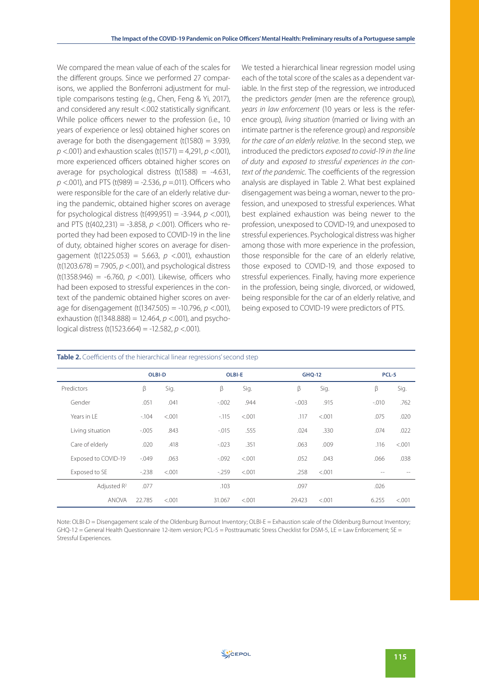We compared the mean value of each of the scales for the different groups. Since we performed 27 comparisons, we applied the Bonferroni adjustment for multiple comparisons testing (e.g., Chen, Feng & Yi, 2017), and considered any result <.002 statistically significant. While police officers newer to the profession (i.e., 10 years of experience or less) obtained higher scores on average for both the disengagement ( $t(1580) = 3.939$ ,  $p$  <.001) and exhaustion scales (t(1571) = 4,291,  $p$  <.001), more experienced officers obtained higher scores on average for psychological distress  $(t(1588) = -4.631$ ,  $p$  <.001), and PTS (t(989) = -2.536,  $p$  =.011). Officers who were responsible for the care of an elderly relative during the pandemic, obtained higher scores on average for psychological distress (t(499,951) = -3.944,  $p$  <.001), and PTS (t(402,231) = -3.858,  $p$  <.001). Officers who reported they had been exposed to COVID-19 in the line of duty, obtained higher scores on average for disengagement (t(1225.053) = 5.663,  $p \le 0.001$ ), exhaustion  $(t(1203.678) = 7.905, p < .001)$ , and psychological distress (t(1358.946) = -6.760,  $p$  <.001). Likewise, officers who had been exposed to stressful experiences in the context of the pandemic obtained higher scores on average for disengagement (t(1347.505) = -10.796,  $p$  <.001), exhaustion (t(1348.888) = 12.464,  $p$  <.001), and psychological distress (t(1523.664) = -12.582,  $p < .001$ ).

We tested a hierarchical linear regression model using each of the total score of the scales as a dependent variable. In the first step of the regression, we introduced the predictors gender (men are the reference group), years in law enforcement (10 years or less is the reference group), living situation (married or living with an intimate partner is the reference group) and responsible for the care of an elderly relative. In the second step, we introduced the predictors exposed to covid-19 in the line of duty and exposed to stressful experiences in the context of the pandemic. The coefficients of the regression analysis are displayed in Table 2. What best explained disengagement was being a woman, newer to the profession, and unexposed to stressful experiences. What best explained exhaustion was being newer to the profession, unexposed to COVID-19, and unexposed to stressful experiences. Psychological distress was higher among those with more experience in the profession, those responsible for the care of an elderly relative, those exposed to COVID-19, and those exposed to stressful experiences. Finally, having more experience in the profession, being single, divorced, or widowed, being responsible for the car of an elderly relative, and being exposed to COVID-19 were predictors of PTS.

|                     |          | <b>OLBI-D</b> |          | <b>OLBI-E</b> |          | <b>GHQ-12</b> |         | PCL-5   |  |
|---------------------|----------|---------------|----------|---------------|----------|---------------|---------|---------|--|
| Predictors          | β        | Sig.          | β        | Sig.          | β        | Sig.          | β       | Sig.    |  |
| Gender              | .051     | .041          | $-0.002$ | .944          | $-0.003$ | .915          | $-.010$ | .762    |  |
| Years in LE         | $-104$   | < 0.001       | $-115$   | < .001        | .117     | < .001        | .075    | .020    |  |
| Living situation    | $-0.005$ | .843          | $-.015$  | .555          | .024     | .330          | .074    | .022    |  |
| Care of elderly     | .020     | .418          | $-.023$  | .351          | .063     | .009          | .116    | < .001  |  |
| Exposed to COVID-19 | $-0.049$ | .063          | $-0.092$ | < 0.001       | .052     | .043          | .066    | .038    |  |
| Exposed to SE       | $-238$   | < 0.001       | $-259$   | < 0.001       | .258     | < .001        | $-$     |         |  |
| Adjusted $R^2$      | .077     |               | .103     |               | .097     |               | .026    |         |  |
| <b>ANOVA</b>        | 22.785   | < 0.001       | 31.067   | < 0.001       | 29.423   | < .001        | 6.255   | < 0.001 |  |

#### **Table 2.** Coefficients of the hierarchical linear regressions' second step

Note: OLBI-D = Disengagement scale of the Oldenburg Burnout Inventory; OLBI-E = Exhaustion scale of the Oldenburg Burnout Inventory; GHQ-12 = General Health Questionnaire 12-item version; PCL-5 = Posttraumatic Stress Checklist for DSM-5, LE = Law Enforcement; SE = Stressful Experiences.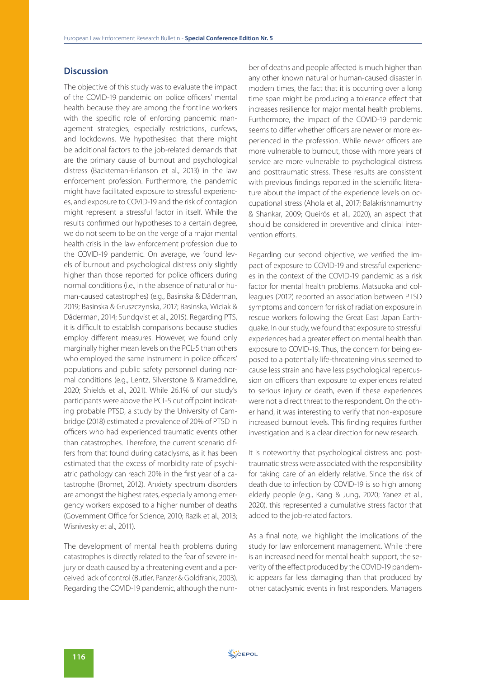# **Discussion**

The objective of this study was to evaluate the impact of the COVID-19 pandemic on police officers' mental health because they are among the frontline workers with the specific role of enforcing pandemic management strategies, especially restrictions, curfews, and lockdowns. We hypothesised that there might be additional factors to the job-related demands that are the primary cause of burnout and psychological distress (Backteman-Erlanson et al., 2013) in the law enforcement profession. Furthermore, the pandemic might have facilitated exposure to stressful experiences, and exposure to COVID-19 and the risk of contagion might represent a stressful factor in itself. While the results confirmed our hypotheses to a certain degree, we do not seem to be on the verge of a major mental health crisis in the law enforcement profession due to the COVID-19 pandemic. On average, we found levels of burnout and psychological distress only slightly higher than those reported for police officers during normal conditions (i.e., in the absence of natural or human-caused catastrophes) (e.g., Basinska & Dåderman, 2019; Basinska & Gruszczynska, 2017; Basinska, Wiciak & Dåderman, 2014; Sundqvist et al., 2015). Regarding PTS, it is difficult to establish comparisons because studies employ different measures. However, we found only marginally higher mean levels on the PCL-5 than others who employed the same instrument in police officers' populations and public safety personnel during normal conditions (e.g., Lentz, Silverstone & Krameddine, 2020; Shields et al., 2021). While 26.1% of our study's participants were above the PCL-5 cut off point indicating probable PTSD, a study by the University of Cambridge (2018) estimated a prevalence of 20% of PTSD in officers who had experienced traumatic events other than catastrophes. Therefore, the current scenario differs from that found during cataclysms, as it has been estimated that the excess of morbidity rate of psychiatric pathology can reach 20% in the first year of a catastrophe (Bromet, 2012). Anxiety spectrum disorders are amongst the highest rates, especially among emergency workers exposed to a higher number of deaths (Government Office for Science, 2010; Razik et al., 2013; Wisnivesky et al., 2011).

The development of mental health problems during catastrophes is directly related to the fear of severe injury or death caused by a threatening event and a perceived lack of control (Butler, Panzer & Goldfrank, 2003). Regarding the COVID-19 pandemic, although the number of deaths and people affected is much higher than any other known natural or human-caused disaster in modern times, the fact that it is occurring over a long time span might be producing a tolerance effect that increases resilience for major mental health problems. Furthermore, the impact of the COVID-19 pandemic seems to differ whether officers are newer or more experienced in the profession. While newer officers are more vulnerable to burnout, those with more years of service are more vulnerable to psychological distress and posttraumatic stress. These results are consistent with previous findings reported in the scientific literature about the impact of the experience levels on occupational stress (Ahola et al., 2017; Balakrishnamurthy & Shankar, 2009; Queirós et al., 2020), an aspect that should be considered in preventive and clinical intervention efforts.

Regarding our second objective, we verified the impact of exposure to COVID-19 and stressful experiences in the context of the COVID-19 pandemic as a risk factor for mental health problems. Matsuoka and colleagues (2012) reported an association between PTSD symptoms and concern for risk of radiation exposure in rescue workers following the Great East Japan Earthquake. In our study, we found that exposure to stressful experiences had a greater effect on mental health than exposure to COVID-19. Thus, the concern for being exposed to a potentially life-threatening virus seemed to cause less strain and have less psychological repercussion on officers than exposure to experiences related to serious injury or death, even if these experiences were not a direct threat to the respondent. On the other hand, it was interesting to verify that non-exposure increased burnout levels. This finding requires further investigation and is a clear direction for new research.

It is noteworthy that psychological distress and posttraumatic stress were associated with the responsibility for taking care of an elderly relative. Since the risk of death due to infection by COVID-19 is so high among elderly people (e.g., Kang & Jung, 2020; Yanez et al., 2020), this represented a cumulative stress factor that added to the job-related factors.

As a final note, we highlight the implications of the study for law enforcement management. While there is an increased need for mental health support, the severity of the effect produced by the COVID-19 pandemic appears far less damaging than that produced by other cataclysmic events in first responders. Managers

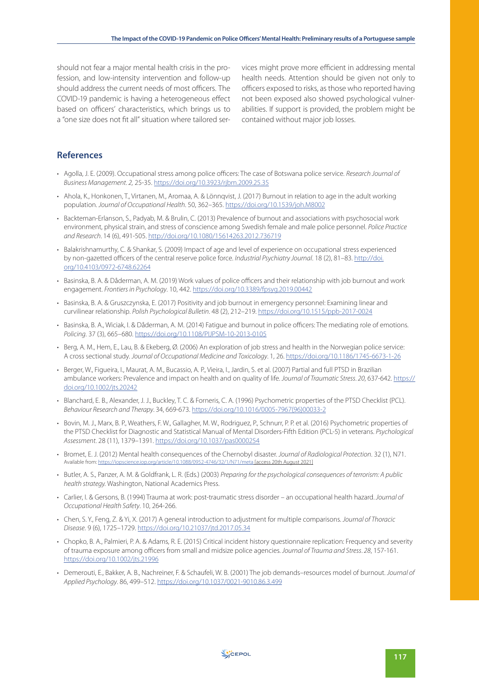should not fear a major mental health crisis in the profession, and low-intensity intervention and follow-up should address the current needs of most officers. The COVID-19 pandemic is having a heterogeneous effect based on officers' characteristics, which brings us to a "one size does not fit all" situation where tailored services might prove more efficient in addressing mental health needs. Attention should be given not only to officers exposed to risks, as those who reported having not been exposed also showed psychological vulnerabilities. If support is provided, the problem might be contained without major job losses.

# **References**

- Agolla, J. E. (2009). Occupational stress among police officers: The case of Botswana police service. Research Journal of Business Management. 2, 25-35. https://doi.org/10.3923/rjbm.2009.25.35
- Ahola, K., Honkonen, T., Virtanen, M., Aromaa, A. & Lönnqvist, J. (2017) Burnout in relation to age in the adult working population. Journal of Occupational Health. 50, 362–365. https://doi.org/10.1539/joh.M8002
- Backteman-Erlanson, S., Padyab, M. & Brulin, C. (2013) Prevalence of burnout and associations with psychosocial work environment, physical strain, and stress of conscience among Swedish female and male police personnel. Police Practice and Research. 14 (6), 491-505. http://doi.org/10.1080/15614263.2012.736719
- Balakrishnamurthy, C. & Shankar, S. (2009) Impact of age and level of experience on occupational stress experienced by non-gazetted officers of the central reserve police force. Industrial Psychiatry Journal. 18 (2), 81-83. http://doi. org/10.4103/0972-6748.62264
- Basinska, B. A. & Dåderman, A. M. (2019) Work values of police officers and their relationship with job burnout and work engagement. Frontiers in Psychology. 10, 442. https://doi.org/10.3389/fpsyg.2019.00442
- Basinska, B. A. & Gruszczynska, E. (2017) Positivity and job burnout in emergency personnel: Examining linear and curvilinear relationship. Polish Psychological Bulletin. 48 (2), 212–219. https://doi.org/10.1515/ppb-2017-0024
- Basinska, B. A., Wiciak, I. & Dåderman, A. M. (2014) Fatigue and burnout in police officers: The mediating role of emotions. Policing. 37 (3), 665–680. https://doi.org/10.1108/PIJPSM-10-2013-0105
- Berg, A. M., Hem, E., Lau, B. & Ekeberg, Ø. (2006) An exploration of job stress and health in the Norwegian police service: A cross sectional study. Journal of Occupational Medicine and Toxicology. 1, 26. https://doi.org/10.1186/1745-6673-1-26
- Berger, W., Figueira, I., Maurat, A. M., Bucassio, A. P., Vieira, I., Jardin, S. et al. (2007) Partial and full PTSD in Brazilian ambulance workers: Prevalence and impact on health and on quality of life. Journal of Traumatic Stress. 20, 637-642. https:// doi.org/10.1002/jts.20242
- Blanchard, E. B., Alexander, J. J., Buckley, T. C. & Forneris, C. A. (1996) Psychometric properties of the PTSD Checklist (PCL). Behaviour Research and Therapy. 34, 669-673. https://doi.org/10.1016/0005-7967(96)00033-2
- Bovin, M. J., Marx, B. P., Weathers, F. W., Gallagher, M. W., Rodriguez, P., Schnurr, P. P. et al. (2016) Psychometric properties of the PTSD Checklist for Diagnostic and Statistical Manual of Mental Disorders-Fifth Edition (PCL-5) in veterans. Psychological Assessment. 28 (11), 1379–1391. https://doi.org/10.1037/pas0000254
- Bromet, E. J. (2012) Mental health consequences of the Chernobyl disaster. Journal of Radiological Protection. 32 (1), N71. Available from: https://iopscience.iop.org/article/10.1088/0952-4746/32/1/N71/meta [access 20th August 2021]
- Butler, A. S., Panzer, A. M. & Goldfrank, L. R. (Eds.) (2003) Preparing for the psychological consequences of terrorism: A public health strategy. Washington, National Academics Press.
- Carlier, I. & Gersons, B. (1994) Trauma at work: post-traumatic stress disorder an occupational health hazard. Journal of Occupational Health Safety. 10, 264-266.
- Chen, S. Y., Feng, Z. & Yi, X. (2017) A general introduction to adjustment for multiple comparisons. Journal of Thoracic Disease. 9 (6), 1725–1729. https://doi.org/10.21037/jtd.2017.05.34
- Chopko, B. A., Palmieri, P. A. & Adams, R. E. (2015) Critical incident history questionnaire replication: Frequency and severity of trauma exposure among officers from small and midsize police agencies. Journal of Trauma and Stress. 28, 157-161. https://doi.org/10.1002/jts.21996
- Demerouti, E., Bakker, A. B., Nachreiner, F. & Schaufeli, W. B. (2001) The job demands–resources model of burnout. Journal of Applied Psychology. 86, 499–512. https://doi.org/10.1037/0021-9010.86.3.499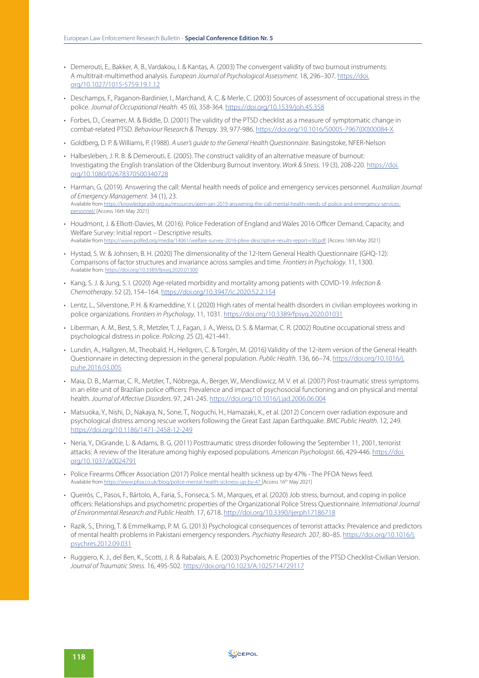- Demerouti, E., Bakker, A. B., Vardakou, I. & Kantas, A. (2003) The convergent validity of two burnout instruments: A multitrait-multimethod analysis. European Journal of Psychological Assessment. 18, 296–307. https://doi. org/10.1027/1015-5759.19.1.12
- Deschamps, F., Paganon-Bardinier, I., Marchand, A. C. & Merle, C. (2003) Sources of assessment of occupational stress in the police. Journal of Occupational Health. 45 (6), 358-364. https://doi.org/10.1539/joh.45.358
- Forbes, D., Creamer, M. & Biddle, D. (2001) The validity of the PTSD checklist as a measure of symptomatic change in combat-related PTSD. Behaviour Research & Therapy. 39, 977-986. https://doi.org/10.1016/S0005-7967(00)00084-X
- Goldberg, D. P. & Williams, P. (1988). A user's quide to the General Health Questionnaire. Basingstoke, NFER-Nelson
- Halbesleben, J. R. B. & Demerouti, E. (2005). The construct validity of an alternative measure of burnout: Investigating the English translation of the Oldenburg Burnout Inventory. Work & Stress. 19 (3), 208-220. https://doi. org/10.1080/02678370500340728
- Harman, G. (2019). Answering the call: Mental health needs of police and emergency services personnel. Australian Journal of Emergency Management. 34 (1), 23. Available from https://knowledge.aidr.org.au/resources/ajem-jan-2019-answering-the-call-mental-health-needs-of-police-and-emergency-servicespersonnel/ [Access 16th May 2021]
- Houdmont, J. & Elliott-Davies, M. (2016). Police Federation of England and Wales 2016 Officer Demand, Capacity, and Welfare Survey: Initial report – Descriptive results. Available from https://www.polfed.org/media/14061/welfare-survey-2016-pfew-descriptive-results-report-v30.pdf. [Access 16th May 2021]
- Hystad, S. W. & Johnsen, B. H. (2020) The dimensionality of the 12-Item General Health Questionnaire (GHQ-12): Comparisons of factor structures and invariance across samples and time. Frontiers in Psychology. 11, 1300. Available from: https://doi.org/10.3389/fpsyg.2020.01300
- Kang, S. J. & Jung, S. I. (2020) Age-related morbidity and mortality among patients with COVID-19. Infection & Chemotherapy. 52 (2), 154–164. https://doi.org/10.3947/ic.2020.52.2.154
- Lentz, L., Silverstone, P. H. & Krameddine, Y. I. (2020) High rates of mental health disorders in civilian employees working in police organizations. Frontiers in Psychology. 11, 1031. https://doi.org/10.3389/fpsyg.2020.01031
- Liberman, A. M., Best, S. R., Metzler, T. J., Fagan, J. A., Weiss, D. S. & Marmar, C. R. (2002) Routine occupational stress and psychological distress in police. Policing. 25 (2), 421-441.
- Lundin, A., Hallgren, M., Theobald, H., Hellgren, C. & Torgén, M. (2016) Validity of the 12-item version of the General Health Questionnaire in detecting depression in the general population. Public Health. 136, 66–74. https://doi.org/10.1016/j. puhe.2016.03.005
- Maia, D. B., Marmar, C. R., Metzler, T., Nóbrega, A., Berger, W., Mendlowicz, M. V. et al. (2007) Post-traumatic stress symptoms in an elite unit of Brazilian police officers: Prevalence and impact of psychosocial functioning and on physical and mental health. Journal of Affective Disorders. 97, 241-245. https://doi.org/10.1016/j.jad.2006.06.004
- Matsuoka, Y., Nishi, D., Nakaya, N., Sone, T., Noguchi, H., Hamazaki, K., et al. (2012) Concern over radiation exposure and psychological distress among rescue workers following the Great East Japan Earthquake. BMC Public Health. 12, 249. https://doi.org/10.1186/1471-2458-12-249
- Neria, Y., DiGrande, L. & Adams, B. G. (2011) Posttraumatic stress disorder following the September 11, 2001, terrorist attacks: A review of the literature among highly exposed populations. American Psychologist. 66, 429-446. https://doi. org/10.1037/a0024791
- Police Firearms Officer Association (2017) Police mental health sickness up by 47% The PFOA News feed. Available from https://www.pfoa.co.uk/blog/police-mental-health-sickness-up-by-47 [Access 16<sup>th</sup> May 2021]
- Queirós, C., Pasos, F., Bártolo, A., Faria, S., Fonseca, S. M., Marques, et al. (2020) Job stress, burnout, and coping in police officers: Relationships and psychometric properties of the Organizational Police Stress Questionnaire. International Journal of Environmental Research and Public Health. 17, 6718. http://doi.org/10.3390/ijerph17186718
- Razik, S., Ehring, T. & Emmelkamp, P. M. G. (2013) Psychological consequences of terrorist attacks: Prevalence and predictors of mental health problems in Pakistani emergency responders. Psychiatry Research. 207, 80–85. https://doi.org/10.1016/j. psychres.2012.09.031
- Ruggiero, K. J., del Ben, K., Scotti, J. R. & Rabalais, A. E. (2003) Psychometric Properties of the PTSD Checklist-Civilian Version. Journal of Traumatic Stress. 16, 495-502. https://doi.org/10.1023/A:1025714729117